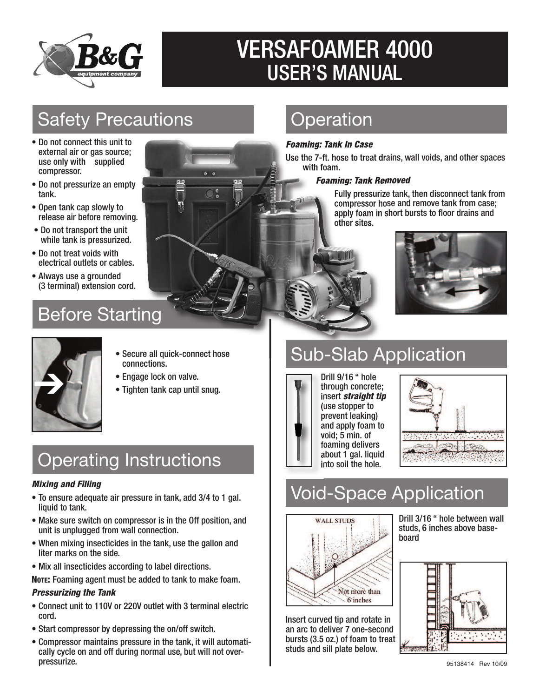

# VERSAFOAMER 4000 USER'S MANUAL

## Safety Precautions

- Do not connect this unit to external air or gas source; use only with supplied compressor.
- Do not pressurize an empty tank.
- Open tank cap slowly to release air before removing.
- Do not transport the unit while tank is pressurized.
- Do not treat voids with electrical outlets or cables.
- Always use a grounded (3 terminal) extension cord.

### Before Starting



## **Operation**

#### *Foaming: Tank In Case*

Use the 7-ft. hose to treat drains, wall voids, and other spaces with foam.

#### *Foaming: Tank Removed*

Fully pressurize tank, then disconnect tank from compressor hose and remove tank from case; apply foam in short bursts to floor drains and other sites.



# Sub-Slab Application



Drill 9/16 " hole through concrete; insert *straight tip* (use stopper to prevent leaking) and apply foam to void; 5 min. of foaming delivers about 1 gal. liquid into soil the hole.



# Void-Space Application



Insert curved tip and rotate in an arc to deliver 7 one-second bursts (3.5 oz.) of foam to treat studs and sill plate below.

Drill 3/16 " hole between wall studs, 6 inches above baseboard



# Operating Instructions

• Secure all quick-connect hose

connections.

• Engage lock on valve. ➔ • Tighten tank cap until snug.

#### *Mixing and Filling*

- To ensure adequate air pressure in tank, add 3/4 to 1 gal. liquid to tank.
- Make sure switch on compressor is in the Off position, and unit is unplugged from wall connection.
- When mixing insecticides in the tank, use the gallon and liter marks on the side.
- Mix all insecticides according to label directions.
- **NOTE:** Foaming agent must be added to tank to make foam.

### *Pressurizing the Tank*

- Connect unit to 110V or 220V outlet with 3 terminal electric cord.
- Start compressor by depressing the on/off switch.
- Compressor maintains pressure in the tank, it will automatically cycle on and off during normal use, but will not overpressurize.